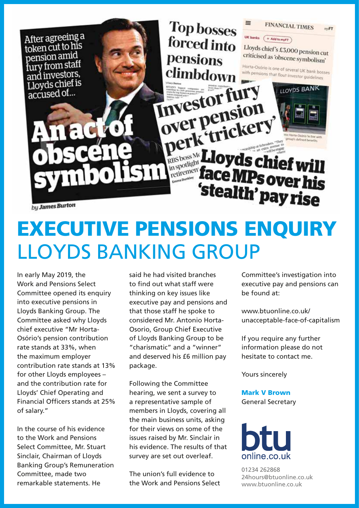

# EXECUTIVE PENSIONS ENQUIRY LLOYDS BANKING GROUP

In early May 2019, the Work and Pensions Select Committee opened its enquiry into executive pensions in Lloyds Banking Group. The Committee asked why Lloyds chief executive "Mr Horta-Osório's pension contribution rate stands at 33%, when the maximum employer contribution rate stands at 13% for other Lloyds employees – and the contribution rate for Lloyds' Chief Operating and Financial Officers stands at 25% of salary."

In the course of his evidence to the Work and Pensions Select Committee, Mr. Stuart Sinclair, Chairman of Lloyds Banking Group's Remuneration Committee, made two remarkable statements. He

said he had visited branches to find out what staff were thinking on key issues like executive pay and pensions and that those staff he spoke to considered Mr. Antonio Horta-Osorio, Group Chief Executive of Lloyds Banking Group to be "charismatic" and a "winner" and deserved his £6 million pay package.

Following the Committee hearing, we sent a survey to a representative sample of members in Lloyds, covering all the main business units, asking for their views on some of the issues raised by Mr. Sinclair in his evidence. The results of that survey are set out overleaf.

The union's full evidence to the Work and Pensions Select Committee's investigation into executive pay and pensions can be found at:

www.btuonline.co.uk/ unacceptable-face-of-capitalism

If you require any further information please do not hesitate to contact me.

Yours sincerely

Mark V Brown General Secretary



01234 262868 24hours@btuonline.co.uk www.btuonline.co.uk